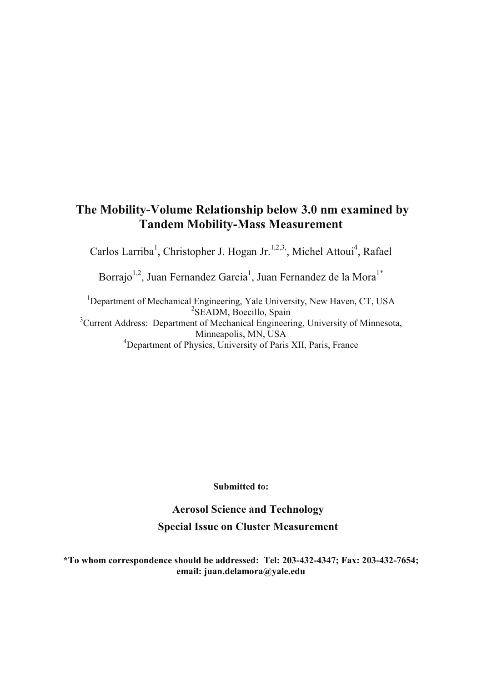## **The Mobility-Volume Relationship below 3.0 nm examined by Tandem Mobility-Mass Measurement**

Carlos Larriba<sup>1</sup>, Christopher J. Hogan Jr.<sup>1,2,3,</sup>, Michel Attoui<sup>4</sup>, Rafael

Borrajo<sup>1,2</sup>, Juan Fernandez Garcia<sup>1</sup>, Juan Fernandez de la Mora<sup>1\*</sup>

<sup>1</sup>Department of Mechanical Engineering, Yale University, New Haven, CT, USA <sup>2</sup>SEADM, Boecillo, Spain <sup>3</sup>Current Address: Department of Mechanical Engineering, University of Minnesota, Minneapolis, MN, USA <sup>4</sup>Department of Physics, University of Paris XII, Paris, France

**Submitted to:**

**Aerosol Science and Technology Special Issue on Cluster Measurement**

**\*To whom correspondence should be addressed: Tel: 203-432-4347; Fax: 203-432-7654; email: juan.delamora@yale.edu**